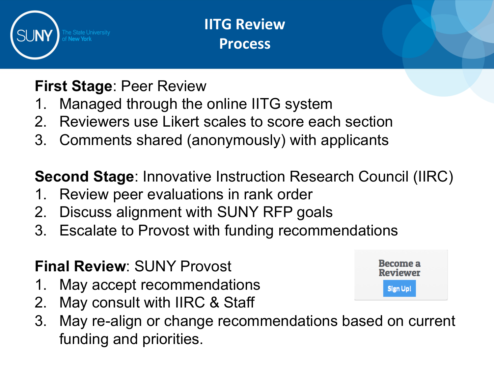

**IITG Review Process** 

# **First Stage**: Peer Review

- 1. Managed through the online IITG system
- 2. Reviewers use Likert scales to score each section
- 3. Comments shared (anonymously) with applicants

**Second Stage**: Innovative Instruction Research Council (IIRC)

- 1. Review peer evaluations in rank order
- 2. Discuss alignment with SUNY RFP goals
- 3. Escalate to Provost with funding recommendations

# **Final Review**: SUNY Provost

- 1. May accept recommendations
- 2. May consult with IIRC & Staff
- 3. May re-align or change recommendations based on current funding and priorities.

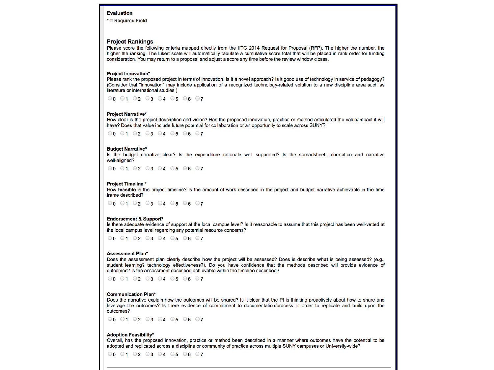### **Evaluation**

\* = Required Field

### **Project Rankings**

Please score the following criteria mapped directly from the IITG 2014 Request for Proposal (RFP). The higher the number, the higher the ranking. The Likert scale will automatically tabulate a cumulative score total that will be placed in rank order for funding consideration. You may return to a proposal and adjust a score any time before the review window closes.

#### **Project Innovation\***

Please rank the proposed project in terms of innovation. Is it a novel approach? Is it good use of technology in service of pedagogy? (Consider that "innovation" may include application of a recognized technology-related solution to a new discipline area such as literature or international studies.)

 $\odot$ 0  $\odot$ 1  $\odot$ 2  $\odot$ 3  $\odot$ 4  $\odot$ 5  $\odot$ 6  $\odot$ 7

#### **Project Narrative\***

How clear is the project description and vision? Has the proposed innovation, practice or method articulated the value/impact it will have? Does that value include future potential for collaboration or an opportunity to scale across SUNY?

 $0001020304050607$ 

#### **Budget Narrative\***

Is the budget narrative clear? Is the expenditure rationale well supported? Is the spreadsheet information and narrative well-aligned?

 $0001020304050607$ 

#### **Project Timeline \***

How feasible is the project timeline? Is the amount of work described in the project and budget narrative achievable in the time frame described?

 $0001020304050607$ 

#### **Endorsement & Support\***

Is there adequate evidence of support at the local campus level? Is it reasonable to assume that this project has been well-vetted at the local campus level regarding any potential resource concerns?

 $0001020304050607$ 

#### **Assessment Plan\***

Does the assessment plan clearly describe how the project will be assessed? Does is describe what is being assessed? (e.g., student learning? technology effectiveness?). Do you have confidence that the methods described will provide evidence of outcomes? Is the assessment described achievable within the timeline described?

 $0001020304050607$ 

#### **Communication Plan\***

Does the narrative explain how the outcomes will be shared? Is it clear that the PI is thinking proactively about how to share and leverage the outcomes? Is there evidence of commitment to documentation/process in order to replicate and build upon the outcomes?

 $0001020304050607$ 

#### **Adoption Feasibility\***

Overall, has the proposed innovation, practice or method been described in a manner where outcomes have the potential to be adopted and replicated across a discipline or community of practice across multiple SUNY campuses or University-wide?

 $0001020304050607$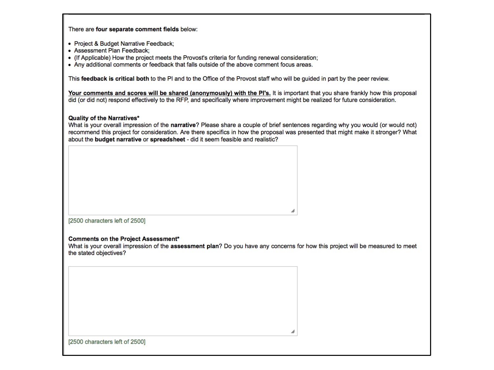| There are four separate comment fields below: |  |  |  |  |
|-----------------------------------------------|--|--|--|--|
|-----------------------------------------------|--|--|--|--|

- Project & Budget Narrative Feedback;
- Assessment Plan Feedback:
- (If Applicable) How the project meets the Provost's criteria for funding renewal consideration;
- Any additional comments or feedback that falls outside of the above comment focus areas.

This feedback is critical both to the PI and to the Office of the Provost staff who will be guided in part by the peer review.

Your comments and scores will be shared (anonymously) with the PI's. It is important that you share frankly how this proposal did (or did not) respond effectively to the RFP, and specifically where improvement might be realized for future consideration.

## Quality of the Narratives\*

What is your overall impression of the narrative? Please share a couple of brief sentences regarding why you would (or would not) recommend this project for consideration. Are there specifics in how the proposal was presented that might make it stronger? What about the budget narrative or spreadsheet - did it seem feasible and realistic?

| [2500 characters left of 2500] |  |
|--------------------------------|--|

## **Comments on the Project Assessment\***

What is your overall impression of the assessment plan? Do you have any concerns for how this project will be measured to meet the stated objectives?

|                                | h |
|--------------------------------|---|
|                                |   |
|                                |   |
|                                |   |
|                                |   |
| [2500 characters left of 2500] |   |
|                                |   |
|                                |   |
|                                |   |
|                                |   |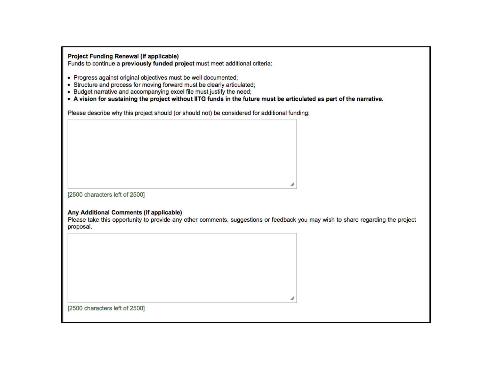**Project Funding Renewal (if applicable)** 

Funds to continue a previously funded project must meet additional criteria:

- Progress against original objectives must be well documented;
- Structure and process for moving forward must be clearly articulated;
- Budget narrative and accompanying excel file must justify the need;
- . A vision for sustaining the project without IITG funds in the future must be articulated as part of the narrative.

Please describe why this project should (or should not) be considered for additional funding:

[2500 characters left of 2500]

# Any Additional Comments (if applicable)

Please take this opportunity to provide any other comments, suggestions or feedback you may wish to share regarding the project proposal.

[2500 characters left of 2500]

h

h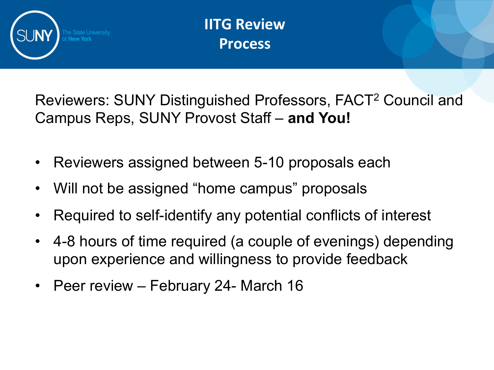

**IITG Review Process** 

Reviewers: SUNY Distinguished Professors, FACT2 Council and Campus Reps, SUNY Provost Staff – **and You!** 

- Reviewers assigned between 5-10 proposals each
- Will not be assigned "home campus" proposals
- Required to self-identify any potential conflicts of interest
- 4-8 hours of time required (a couple of evenings) depending upon experience and willingness to provide feedback
- Peer review February 24- March 16